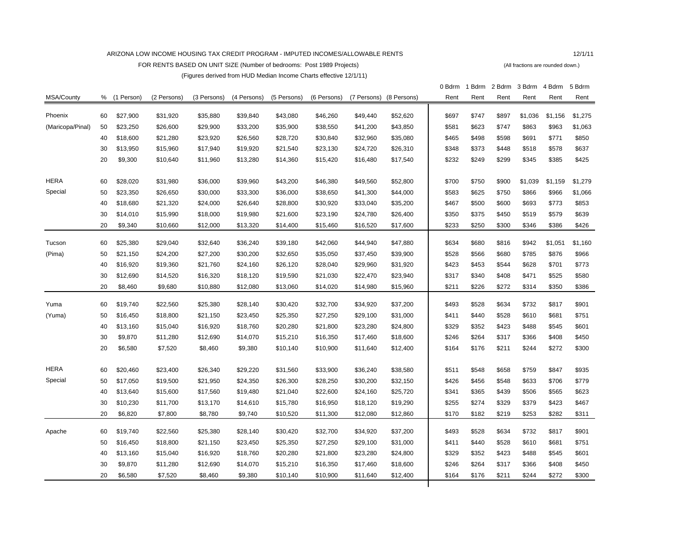## ARIZONA LOW INCOME HOUSING TAX CREDIT PROGRAM - IMPUTED INCOMES/ALLOWABLE RENTS 12/1/11

FOR RENTS BASED ON UNIT SIZE (Number of bedrooms: Post 1989 Projects) (All fractions are rounded down.)

(Figures derived from HUD Median Income Charts effective 12/1/11)

|                  |    |            |             |             |             |             |             |             |             | 0 Bdrm | 1 Bdrm | 2 Bdrm | 3 Bdrm  | 4 Bdrm  | 5 Bdrm  |
|------------------|----|------------|-------------|-------------|-------------|-------------|-------------|-------------|-------------|--------|--------|--------|---------|---------|---------|
| MSA/County       | %  | (1 Person) | (2 Persons) | (3 Persons) | (4 Persons) | (5 Persons) | (6 Persons) | (7 Persons) | (8 Persons) | Rent   | Rent   | Rent   | Rent    | Rent    | Rent    |
|                  |    |            |             |             |             |             |             |             |             |        |        |        |         |         |         |
| Phoenix          | 60 | \$27,900   | \$31,920    | \$35,880    | \$39,840    | \$43,080    | \$46,260    | \$49,440    | \$52,620    | \$697  | \$747  | \$897  | \$1,036 | \$1,156 | \$1,275 |
| (Maricopa/Pinal) | 50 | \$23,250   | \$26,600    | \$29,900    | \$33,200    | \$35,900    | \$38,550    | \$41,200    | \$43,850    | \$581  | \$623  | \$747  | \$863   | \$963   | \$1,063 |
|                  | 40 | \$18,600   | \$21,280    | \$23,920    | \$26,560    | \$28,720    | \$30,840    | \$32,960    | \$35,080    | \$465  | \$498  | \$598  | \$691   | \$771   | \$850   |
|                  | 30 | \$13,950   | \$15,960    | \$17,940    | \$19,920    | \$21,540    | \$23,130    | \$24,720    | \$26,310    | \$348  | \$373  | \$448  | \$518   | \$578   | \$637   |
|                  | 20 | \$9,300    | \$10,640    | \$11,960    | \$13,280    | \$14,360    | \$15,420    | \$16,480    | \$17,540    | \$232  | \$249  | \$299  | \$345   | \$385   | \$425   |
| <b>HERA</b>      | 60 | \$28,020   | \$31,980    | \$36,000    | \$39,960    | \$43,200    | \$46,380    | \$49,560    | \$52,800    | \$700  | \$750  | \$900  | \$1,039 | \$1,159 | \$1,279 |
| Special          | 50 | \$23,350   | \$26,650    | \$30,000    | \$33,300    | \$36,000    | \$38,650    | \$41,300    | \$44,000    | \$583  | \$625  | \$750  | \$866   | \$966   | \$1,066 |
|                  | 40 | \$18,680   | \$21,320    | \$24,000    | \$26,640    | \$28,800    | \$30,920    | \$33,040    | \$35,200    | \$467  | \$500  | \$600  | \$693   | \$773   | \$853   |
|                  | 30 | \$14,010   | \$15,990    | \$18,000    | \$19,980    | \$21,600    | \$23,190    | \$24,780    | \$26,400    | \$350  | \$375  | \$450  | \$519   | \$579   | \$639   |
|                  | 20 | \$9,340    | \$10,660    | \$12,000    | \$13,320    | \$14,400    | \$15,460    | \$16,520    | \$17,600    | \$233  | \$250  | \$300  | \$346   | \$386   | \$426   |
|                  |    |            |             |             |             |             |             |             |             |        |        |        |         |         |         |
| Tucson           | 60 | \$25,380   | \$29,040    | \$32,640    | \$36,240    | \$39,180    | \$42,060    | \$44,940    | \$47,880    | \$634  | \$680  | \$816  | \$942   | \$1,051 | \$1,160 |
| (Pima)           | 50 | \$21,150   | \$24,200    | \$27,200    | \$30,200    | \$32,650    | \$35,050    | \$37,450    | \$39,900    | \$528  | \$566  | \$680  | \$785   | \$876   | \$966   |
|                  | 40 | \$16,920   | \$19,360    | \$21,760    | \$24,160    | \$26,120    | \$28,040    | \$29,960    | \$31,920    | \$423  | \$453  | \$544  | \$628   | \$701   | \$773   |
|                  | 30 | \$12,690   | \$14,520    | \$16,320    | \$18,120    | \$19,590    | \$21,030    | \$22,470    | \$23,940    | \$317  | \$340  | \$408  | \$471   | \$525   | \$580   |
|                  | 20 | \$8,460    | \$9,680     | \$10,880    | \$12,080    | \$13,060    | \$14,020    | \$14,980    | \$15,960    | \$211  | \$226  | \$272  | \$314   | \$350   | \$386   |
| Yuma             | 60 | \$19,740   | \$22,560    | \$25,380    | \$28,140    | \$30,420    | \$32,700    | \$34,920    | \$37,200    | \$493  | \$528  | \$634  | \$732   | \$817   | \$901   |
| (Yuma)           | 50 | \$16,450   | \$18,800    | \$21,150    | \$23,450    | \$25,350    | \$27,250    | \$29,100    | \$31,000    | \$411  | \$440  | \$528  | \$610   | \$681   | \$751   |
|                  | 40 | \$13,160   | \$15,040    | \$16,920    | \$18,760    | \$20,280    | \$21,800    | \$23,280    | \$24,800    | \$329  | \$352  | \$423  | \$488   | \$545   | \$601   |
|                  | 30 | \$9,870    | \$11,280    | \$12,690    | \$14,070    | \$15,210    | \$16,350    | \$17,460    | \$18,600    | \$246  | \$264  | \$317  | \$366   | \$408   | \$450   |
|                  | 20 | \$6,580    | \$7,520     | \$8,460     | \$9,380     | \$10,140    | \$10,900    | \$11,640    | \$12,400    | \$164  | \$176  | \$211  | \$244   | \$272   | \$300   |
|                  |    |            |             |             |             |             |             |             |             |        |        |        |         |         |         |
| <b>HERA</b>      | 60 | \$20,460   | \$23,400    | \$26,340    | \$29,220    | \$31,560    | \$33,900    | \$36,240    | \$38,580    | \$511  | \$548  | \$658  | \$759   | \$847   | \$935   |
| Special          | 50 | \$17,050   | \$19,500    | \$21,950    | \$24,350    | \$26,300    | \$28,250    | \$30,200    | \$32,150    | \$426  | \$456  | \$548  | \$633   | \$706   | \$779   |
|                  | 40 | \$13,640   | \$15,600    | \$17,560    | \$19,480    | \$21,040    | \$22,600    | \$24,160    | \$25,720    | \$341  | \$365  | \$439  | \$506   | \$565   | \$623   |
|                  | 30 | \$10,230   | \$11,700    | \$13,170    | \$14,610    | \$15,780    | \$16,950    | \$18,120    | \$19,290    | \$255  | \$274  | \$329  | \$379   | \$423   | \$467   |
|                  | 20 | \$6,820    | \$7,800     | \$8,780     | \$9,740     | \$10,520    | \$11,300    | \$12,080    | \$12,860    | \$170  | \$182  | \$219  | \$253   | \$282   | \$311   |
| Apache           | 60 | \$19,740   | \$22,560    | \$25,380    | \$28,140    | \$30,420    | \$32,700    | \$34,920    | \$37,200    | \$493  | \$528  | \$634  | \$732   | \$817   | \$901   |
|                  | 50 | \$16,450   | \$18,800    | \$21,150    | \$23,450    | \$25,350    | \$27,250    | \$29,100    | \$31,000    | \$411  | \$440  | \$528  | \$610   | \$681   | \$751   |
|                  | 40 | \$13,160   | \$15,040    | \$16,920    | \$18,760    | \$20,280    | \$21,800    | \$23,280    | \$24,800    | \$329  | \$352  | \$423  | \$488   | \$545   | \$601   |
|                  | 30 | \$9,870    | \$11,280    | \$12,690    | \$14,070    | \$15,210    | \$16,350    | \$17,460    | \$18,600    | \$246  | \$264  | \$317  | \$366   | \$408   | \$450   |
|                  | 20 | \$6,580    | \$7,520     | \$8,460     | \$9,380     | \$10,140    | \$10,900    | \$11,640    | \$12,400    | \$164  | \$176  | \$211  | \$244   | \$272   | \$300   |

 $\mathbf{I}$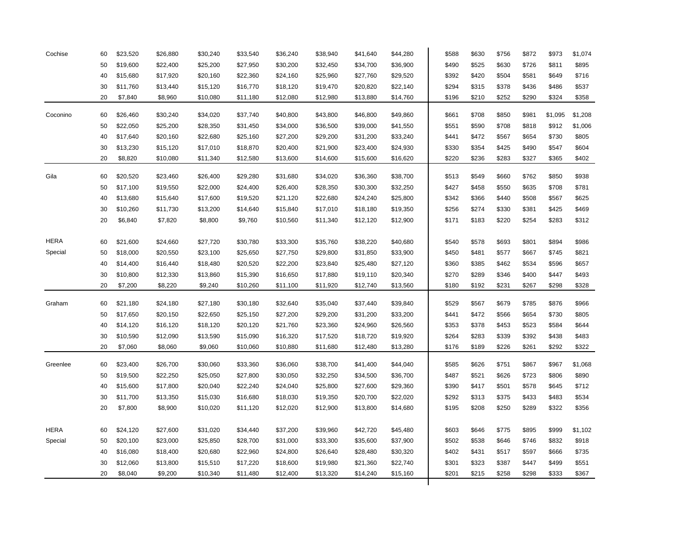| Cochise     | 60 | \$23,520 | \$26,880 | \$30,240 | \$33,540 | \$36,240 | \$38,940 | \$41,640 | \$44,280 | \$588 | \$630 | \$756 | \$872 | \$973   | \$1,074 |
|-------------|----|----------|----------|----------|----------|----------|----------|----------|----------|-------|-------|-------|-------|---------|---------|
|             | 50 | \$19,600 | \$22,400 | \$25,200 | \$27,950 | \$30,200 | \$32,450 | \$34,700 | \$36,900 | \$490 | \$525 | \$630 | \$726 | \$811   | \$895   |
|             | 40 | \$15,680 | \$17,920 | \$20,160 | \$22,360 | \$24,160 | \$25,960 | \$27,760 | \$29,520 | \$392 | \$420 | \$504 | \$581 | \$649   | \$716   |
|             | 30 | \$11,760 | \$13,440 | \$15,120 | \$16,770 | \$18,120 | \$19,470 | \$20,820 | \$22,140 | \$294 | \$315 | \$378 | \$436 | \$486   | \$537   |
|             | 20 | \$7,840  | \$8,960  | \$10,080 | \$11,180 | \$12,080 | \$12,980 | \$13,880 | \$14,760 | \$196 | \$210 | \$252 | \$290 | \$324   | \$358   |
| Coconino    | 60 | \$26,460 | \$30,240 | \$34,020 | \$37,740 | \$40,800 | \$43,800 | \$46,800 | \$49,860 | \$661 | \$708 | \$850 | \$981 | \$1,095 | \$1,208 |
|             | 50 | \$22,050 | \$25,200 | \$28,350 | \$31,450 | \$34,000 | \$36,500 | \$39,000 | \$41,550 | \$551 | \$590 | \$708 | \$818 | \$912   | \$1,006 |
|             | 40 | \$17,640 | \$20,160 | \$22,680 | \$25,160 | \$27,200 | \$29,200 | \$31,200 | \$33,240 | \$441 | \$472 | \$567 | \$654 | \$730   | \$805   |
|             | 30 | \$13,230 | \$15,120 | \$17,010 | \$18,870 | \$20,400 | \$21,900 | \$23,400 | \$24,930 | \$330 | \$354 | \$425 | \$490 | \$547   | \$604   |
|             | 20 | \$8,820  | \$10,080 | \$11,340 | \$12,580 | \$13,600 | \$14,600 | \$15,600 | \$16,620 | \$220 | \$236 | \$283 | \$327 | \$365   | \$402   |
|             |    |          |          |          |          |          |          |          |          |       |       |       |       |         |         |
| Gila        | 60 | \$20,520 | \$23,460 | \$26,400 | \$29,280 | \$31,680 | \$34,020 | \$36,360 | \$38,700 | \$513 | \$549 | \$660 | \$762 | \$850   | \$938   |
|             | 50 | \$17,100 | \$19,550 | \$22,000 | \$24,400 | \$26,400 | \$28,350 | \$30,300 | \$32,250 | \$427 | \$458 | \$550 | \$635 | \$708   | \$781   |
|             | 40 | \$13,680 | \$15,640 | \$17,600 | \$19,520 | \$21,120 | \$22,680 | \$24,240 | \$25,800 | \$342 | \$366 | \$440 | \$508 | \$567   | \$625   |
|             | 30 | \$10,260 | \$11,730 | \$13,200 | \$14,640 | \$15,840 | \$17,010 | \$18,180 | \$19,350 | \$256 | \$274 | \$330 | \$381 | \$425   | \$469   |
|             | 20 | \$6,840  | \$7,820  | \$8,800  | \$9,760  | \$10,560 | \$11,340 | \$12,120 | \$12,900 | \$171 | \$183 | \$220 | \$254 | \$283   | \$312   |
|             |    |          |          |          |          |          |          |          |          |       |       |       |       |         |         |
| <b>HERA</b> | 60 | \$21,600 | \$24,660 | \$27,720 | \$30,780 | \$33,300 | \$35,760 | \$38,220 | \$40,680 | \$540 | \$578 | \$693 | \$801 | \$894   | \$986   |
| Special     | 50 | \$18,000 | \$20,550 | \$23,100 | \$25,650 | \$27,750 | \$29,800 | \$31,850 | \$33,900 | \$450 | \$481 | \$577 | \$667 | \$745   | \$821   |
|             | 40 | \$14,400 | \$16,440 | \$18,480 | \$20,520 | \$22,200 | \$23,840 | \$25,480 | \$27,120 | \$360 | \$385 | \$462 | \$534 | \$596   | \$657   |
|             | 30 | \$10,800 | \$12,330 | \$13,860 | \$15,390 | \$16,650 | \$17,880 | \$19,110 | \$20,340 | \$270 | \$289 | \$346 | \$400 | \$447   | \$493   |
|             | 20 | \$7,200  | \$8,220  | \$9,240  | \$10,260 | \$11,100 | \$11,920 | \$12,740 | \$13,560 | \$180 | \$192 | \$231 | \$267 | \$298   | \$328   |
| Graham      | 60 | \$21,180 | \$24,180 | \$27,180 | \$30,180 | \$32,640 | \$35,040 | \$37,440 | \$39,840 | \$529 | \$567 | \$679 | \$785 | \$876   | \$966   |
|             | 50 | \$17,650 | \$20,150 | \$22,650 | \$25,150 | \$27,200 | \$29,200 | \$31,200 | \$33,200 | \$441 | \$472 | \$566 | \$654 | \$730   | \$805   |
|             | 40 | \$14,120 | \$16,120 | \$18,120 | \$20,120 | \$21,760 | \$23,360 | \$24,960 | \$26,560 | \$353 | \$378 | \$453 | \$523 | \$584   | \$644   |
|             | 30 | \$10,590 | \$12,090 | \$13,590 | \$15,090 | \$16,320 | \$17,520 | \$18,720 | \$19,920 | \$264 | \$283 | \$339 | \$392 | \$438   | \$483   |
|             | 20 | \$7,060  | \$8,060  | \$9,060  | \$10,060 | \$10,880 | \$11,680 | \$12,480 | \$13,280 | \$176 | \$189 | \$226 | \$261 | \$292   | \$322   |
| Greenlee    | 60 | \$23,400 | \$26,700 | \$30,060 | \$33,360 | \$36,060 | \$38,700 | \$41,400 | \$44,040 | \$585 | \$626 | \$751 | \$867 | \$967   | \$1,068 |
|             | 50 | \$19,500 | \$22,250 | \$25,050 | \$27,800 | \$30,050 | \$32,250 | \$34,500 | \$36,700 | \$487 | \$521 | \$626 | \$723 | \$806   | \$890   |
|             | 40 | \$15,600 | \$17,800 | \$20,040 | \$22,240 | \$24,040 | \$25,800 | \$27,600 | \$29,360 | \$390 | \$417 | \$501 | \$578 | \$645   | \$712   |
|             | 30 | \$11,700 | \$13,350 | \$15,030 | \$16,680 | \$18,030 | \$19,350 | \$20,700 | \$22,020 | \$292 | \$313 | \$375 | \$433 | \$483   | \$534   |
|             | 20 | \$7,800  | \$8,900  | \$10,020 | \$11,120 | \$12,020 | \$12,900 | \$13,800 | \$14,680 | \$195 | \$208 | \$250 | \$289 | \$322   | \$356   |
|             |    |          |          |          |          |          |          |          |          |       |       |       |       |         |         |
| <b>HERA</b> | 60 | \$24,120 | \$27,600 | \$31,020 | \$34,440 | \$37,200 | \$39,960 | \$42,720 | \$45,480 | \$603 | \$646 | \$775 | \$895 | \$999   | \$1,102 |
| Special     | 50 | \$20,100 | \$23,000 | \$25,850 | \$28,700 | \$31,000 | \$33,300 | \$35,600 | \$37,900 | \$502 | \$538 | \$646 | \$746 | \$832   | \$918   |
|             | 40 | \$16,080 | \$18,400 | \$20,680 | \$22,960 | \$24,800 | \$26,640 | \$28,480 | \$30,320 | \$402 | \$431 | \$517 | \$597 | \$666   | \$735   |
|             | 30 | \$12,060 | \$13,800 | \$15,510 | \$17,220 | \$18,600 | \$19,980 | \$21,360 | \$22,740 | \$301 | \$323 | \$387 | \$447 | \$499   | \$551   |
|             | 20 | \$8,040  | \$9,200  | \$10,340 | \$11,480 | \$12,400 | \$13,320 | \$14,240 | \$15,160 | \$201 | \$215 | \$258 | \$298 | \$333   | \$367   |
|             |    |          |          |          |          |          |          |          |          |       |       |       |       |         |         |